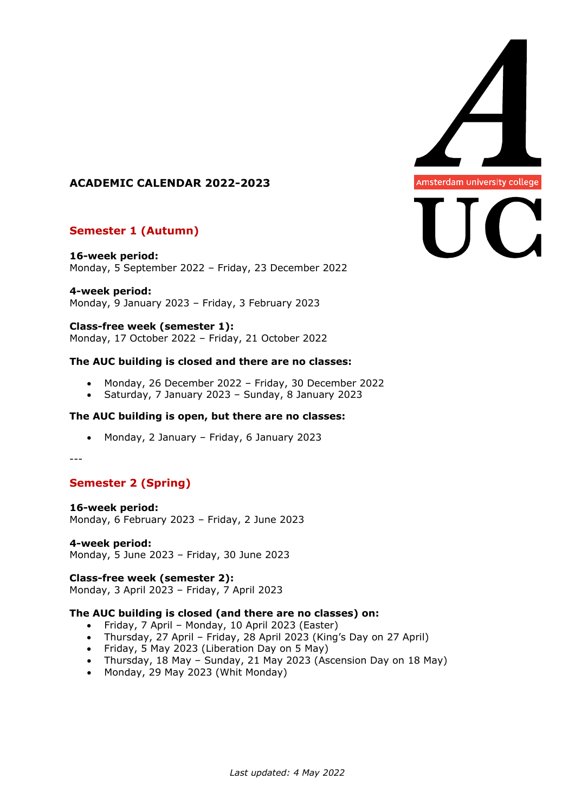

# **ACADEMIC CALENDAR 2022-2023**

# **Semester 1 (Autumn)**

**16-week period:** Monday, 5 September 2022 – Friday, 23 December 2022

**4-week period:** Monday, 9 January 2023 – Friday, 3 February 2023

## **Class-free week (semester 1):**

Monday, 17 October 2022 – Friday, 21 October 2022

## **The AUC building is closed and there are no classes:**

- Monday, 26 December 2022 Friday, 30 December 2022
- Saturday, 7 January 2023 Sunday, 8 January 2023

#### **The AUC building is open, but there are no classes:**

• Monday, 2 January – Friday, 6 January 2023

---

# **Semester 2 (Spring)**

# **16-week period:**

Monday, 6 February 2023 – Friday, 2 June 2023

**4-week period:** Monday, 5 June 2023 – Friday, 30 June 2023

**Class-free week (semester 2):** Monday, 3 April 2023 – Friday, 7 April 2023

# **The AUC building is closed (and there are no classes) on:**

- Friday, 7 April Monday, 10 April 2023 (Easter)
- Thursday, 27 April Friday, 28 April 2023 (King's Day on 27 April)
- Friday, 5 May 2023 (Liberation Day on 5 May)
- Thursday, 18 May Sunday, 21 May 2023 (Ascension Day on 18 May)
- Monday, 29 May 2023 (Whit Monday)